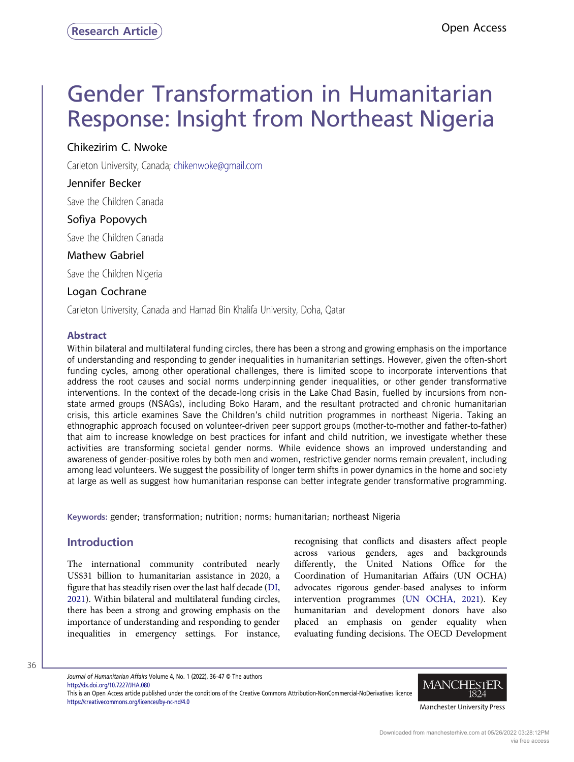# Gender Transformation in Humanitarian Response: Insight from Northeast Nigeria

Chikezirim C. Nwoke

Chikezirim C. Nwoke Carleton University, Canada; [chikenwoke@gmail.com](mailto:chikenwoke@gmail.com)

# Jennifer Becker

 $\epsilon$  Jennifer Becker Save the Children Canada

Sofiya Popovych Save the Children Canada

# **Mathew Gabriel**

mathew Gabriel Save the Children Nigeria

Logan Cochrane Carleton University, Canada and Hamad Bin Khalifa University, Doha, Qatar

# Abstract

Within bilateral and multilateral funding circles, there has been a strong and growing emphasis on the importance of understanding and responding to gender inequalities in humanitarian settings. However, given the often-short funding cycles, among other operational challenges, there is limited scope to incorporate interventions that address the root causes and social norms underpinning gender inequalities, or other gender transformative interventions. In the context of the decade-long crisis in the Lake Chad Basin, fuelled by incursions from nonstate armed groups (NSAGs), including Boko Haram, and the resultant protracted and chronic humanitarian crisis, this article examines Save the Children's child nutrition programmes in northeast Nigeria. Taking an ethnographic approach focused on volunteer-driven peer support groups (mother-to-mother and father-to-father) that aim to increase knowledge on best practices for infant and child nutrition, we investigate whether these activities are transforming societal gender norms. While evidence shows an improved understanding and awareness of gender-positive roles by both men and women, restrictive gender norms remain prevalent, including among lead volunteers. We suggest the possibility of longer term shifts in power dynamics in the home and society at large as well as suggest how humanitarian response can better integrate gender transformative programming.

Keywords: gender; transformation; nutrition; norms; humanitarian; northeast Nigeria

# Introduction

The international community contributed nearly US\$31 billion to humanitarian assistance in 2020, a figure that has steadily risen over the last half decade ([DI,](#page-11-0) [2021\)](#page-11-0). Within bilateral and multilateral funding circles, there has been a strong and growing emphasis on the importance of understanding and responding to gender inequalities in emergency settings. For instance, recognising that conflicts and disasters affect people across various genders, ages and backgrounds differently, the United Nations Office for the Coordination of Humanitarian Affairs (UN OCHA) advocates rigorous gender-based analyses to inform intervention programmes ([UN OCHA, 2021](#page-11-1)). Key humanitarian and development donors have also placed an emphasis on gender equality when evaluating funding decisions. The OECD Development

36

Journal of Humanitarian Affairs Volume 4, No. 1 (2022), 36–47 © The authors <http://dx.doi.org/10.7227/JHA.080> This is an Open Access article published under the conditions of the Creative Commons Attribution-NonCommercial-NoDerivatives licence <https://creativecommons.org/licences/by-nc-nd/4.0>



Manchester University Press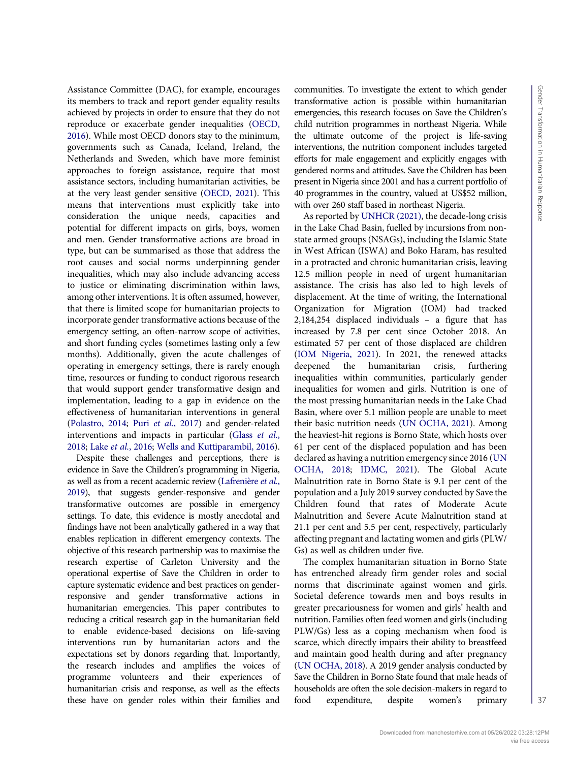Assistance Committee (DAC), for example, encourages its members to track and report gender equality results achieved by projects in order to ensure that they do not reproduce or exacerbate gender inequalities ([OECD,](#page-11-2) [2016\)](#page-11-2). While most OECD donors stay to the minimum, governments such as Canada, Iceland, Ireland, the Netherlands and Sweden, which have more feminist approaches to foreign assistance, require that most assistance sectors, including humanitarian activities, be at the very least gender sensitive ([OECD, 2021](#page-11-3)). This means that interventions must explicitly take into consideration the unique needs, capacities and potential for different impacts on girls, boys, women and men. Gender transformative actions are broad in type, but can be summarised as those that address the root causes and social norms underpinning gender inequalities, which may also include advancing access to justice or eliminating discrimination within laws, among other interventions. It is often assumed, however, that there is limited scope for humanitarian projects to incorporate gender transformative actions because of the emergency setting, an often-narrow scope of activities, and short funding cycles (sometimes lasting only a few months). Additionally, given the acute challenges of operating in emergency settings, there is rarely enough time, resources or funding to conduct rigorous research that would support gender transformative design and implementation, leading to a gap in evidence on the effectiveness of humanitarian interventions in general [\(Polastro, 2014](#page-11-4); Puri et al.[, 2017\)](#page-11-5) and gender-related interventions and impacts in particular (Glass [et al.](#page-11-6), [2018;](#page-11-6) Lake et al.[, 2016;](#page-11-7) [Wells and Kuttiparambil, 2016\)](#page-11-8).

Despite these challenges and perceptions, there is evidence in Save the Children's programming in Nigeria, as well as from a recent academic review [\(Lafrenière](#page-11-9) et al., [2019](#page-11-9)), that suggests gender-responsive and gender transformative outcomes are possible in emergency settings. To date, this evidence is mostly anecdotal and findings have not been analytically gathered in a way that enables replication in different emergency contexts. The objective of this research partnership was to maximise the research expertise of Carleton University and the operational expertise of Save the Children in order to capture systematic evidence and best practices on genderresponsive and gender transformative actions in humanitarian emergencies. This paper contributes to reducing a critical research gap in the humanitarian field to enable evidence-based decisions on life-saving interventions run by humanitarian actors and the expectations set by donors regarding that. Importantly, the research includes and amplifies the voices of programme volunteers and their experiences of humanitarian crisis and response, as well as the effects these have on gender roles within their families and

communities. To investigate the extent to which gender transformative action is possible within humanitarian emergencies, this research focuses on Save the Children's child nutrition programmes in northeast Nigeria. While the ultimate outcome of the project is life-saving interventions, the nutrition component includes targeted efforts for male engagement and explicitly engages with gendered norms and attitudes. Save the Children has been present in Nigeria since 2001 and has a current portfolio of 40 programmes in the country, valued at US\$52 million, with over 260 staff based in northeast Nigeria.

As reported by [UNHCR \(2021\)](#page-11-10), the decade-long crisis in the Lake Chad Basin, fuelled by incursions from nonstate armed groups (NSAGs), including the Islamic State in West African (ISWA) and Boko Haram, has resulted in a protracted and chronic humanitarian crisis, leaving 12.5 million people in need of urgent humanitarian assistance. The crisis has also led to high levels of displacement. At the time of writing, the International Organization for Migration (IOM) had tracked 2,184,254 displaced individuals – a figure that has increased by 7.8 per cent since October 2018. An estimated 57 per cent of those displaced are children ([IOM Nigeria, 2021\)](#page-11-11). In 2021, the renewed attacks deepened the humanitarian crisis, furthering inequalities within communities, particularly gender inequalities for women and girls. Nutrition is one of the most pressing humanitarian needs in the Lake Chad Basin, where over 5.1 million people are unable to meet their basic nutrition needs [\(UN OCHA, 2021\)](#page-11-1). Among the heaviest-hit regions is Borno State, which hosts over 61 per cent of the displaced population and has been declared as having a nutrition emergency since 2016 [\(UN](#page-11-12) [OCHA, 2018](#page-11-12); [IDMC, 2021\)](#page-11-13). The Global Acute Malnutrition rate in Borno State is 9.1 per cent of the population and a July 2019 survey conducted by Save the Children found that rates of Moderate Acute Malnutrition and Severe Acute Malnutrition stand at 21.1 per cent and 5.5 per cent, respectively, particularly affecting pregnant and lactating women and girls (PLW/ Gs) as well as children under five.

The complex humanitarian situation in Borno State has entrenched already firm gender roles and social norms that discriminate against women and girls. Societal deference towards men and boys results in greater precariousness for women and girls' health and nutrition. Families often feed women and girls (including PLW/Gs) less as a coping mechanism when food is scarce, which directly impairs their ability to breastfeed and maintain good health during and after pregnancy ([UN OCHA, 2018\)](#page-11-12). A 2019 gender analysis conducted by Save the Children in Borno State found that male heads of households are often the sole decision-makers in regard to food expenditure, despite women's primary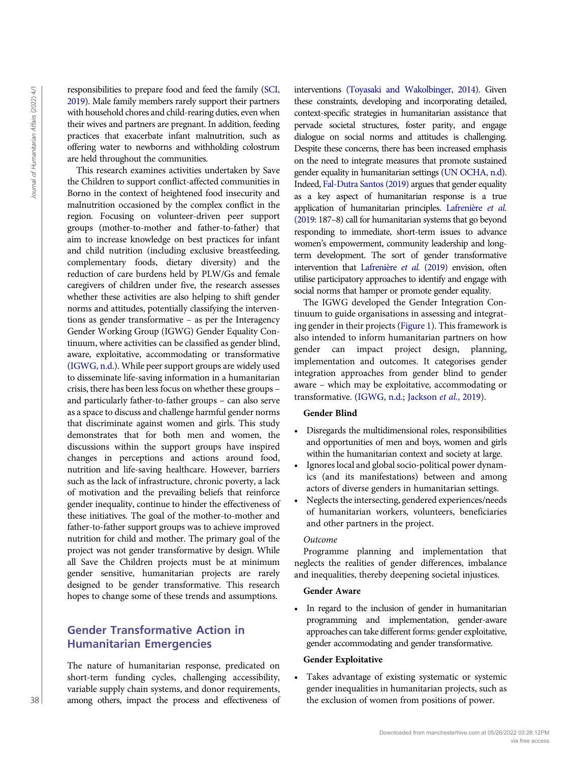responsibilities to prepare food and feed the family [\(SCI,](#page-11-14) [2019](#page-11-14)). Male family members rarely support their partners with household chores and child-rearing duties, even when their wives and partners are pregnant. In addition, feeding practices that exacerbate infant malnutrition, such as offering water to newborns and withholding colostrum are held throughout the communities.

This research examines activities undertaken by Save the Children to support conflict-affected communities in Borno in the context of heightened food insecurity and malnutrition occasioned by the complex conflict in the region. Focusing on volunteer-driven peer support groups (mother-to-mother and father-to-father) that aim to increase knowledge on best practices for infant and child nutrition (including exclusive breastfeeding, complementary foods, dietary diversity) and the reduction of care burdens held by PLW/Gs and female caregivers of children under five, the research assesses whether these activities are also helping to shift gender norms and attitudes, potentially classifying the interventions as gender transformative – as per the Interagency Gender Working Group (IGWG) Gender Equality Continuum, where activities can be classified as gender blind, aware, exploitative, accommodating or transformative [\(IGWG, n.d.](#page-11-15)). While peer support groups are widely used to disseminate life-saving information in a humanitarian crisis, there has been less focus on whether these groups – and particularly father-to-father groups – can also serve as a space to discuss and challenge harmful gender norms that discriminate against women and girls. This study demonstrates that for both men and women, the discussions within the support groups have inspired changes in perceptions and actions around food, nutrition and life-saving healthcare. However, barriers such as the lack of infrastructure, chronic poverty, a lack of motivation and the prevailing beliefs that reinforce gender inequality, continue to hinder the effectiveness of these initiatives. The goal of the mother-to-mother and father-to-father support groups was to achieve improved nutrition for child and mother. The primary goal of the project was not gender transformative by design. While all Save the Children projects must be at minimum gender sensitive, humanitarian projects are rarely designed to be gender transformative. This research hopes to change some of these trends and assumptions. 28 The metric of exclusion of the results of the contents of the contents of the exclusion of the exclusion of the exclusion of the exclusion of the exclusion of the exclusion of the exclusion of the exclusion of the exc

# Gender Transformative Action in Humanitarian Emergencies

The nature of humanitarian response, predicated on short-term funding cycles, challenging accessibility, variable supply chain systems, and donor requirements, among others, impact the process and effectiveness of interventions [\(Toyasaki and Wakolbinger, 2014](#page-11-16)). Given these constraints, developing and incorporating detailed, context-specific strategies in humanitarian assistance that pervade societal structures, foster parity, and engage dialogue on social norms and attitudes is challenging. Despite these concerns, there has been increased emphasis on the need to integrate measures that promote sustained gender equality in humanitarian settings [\(UN OCHA, n.d\)](#page-11-17). Indeed, [Fal-Dutra Santos \(2019\)](#page-11-18) argues that gender equality as a key aspect of humanitarian response is a true application of humanitarian principles. [Lafrenière](#page-11-9) et al. [\(2019](#page-11-9): 187–8) call for humanitarian systems that go beyond responding to immediate, short-term issues to advance women's empowerment, community leadership and longterm development. The sort of gender transformative intervention that [Lafrenière](#page-11-9) et al. (2019) envision, often utilise participatory approaches to identify and engage with social norms that hamper or promote gender equality.

The IGWG developed the Gender Integration Continuum to guide organisations in assessing and integrating gender in their projects ([Figure 1\)](#page-3-0). This framework is also intended to inform humanitarian partners on how gender can impact project design, planning, implementation and outcomes. It categorises gender integration approaches from gender blind to gender aware – which may be exploitative, accommodating or transformative. [\(IGWG, n.d.](#page-11-15); [Jackson](#page-11-19) et al., 2019).

### Gender Blind

- Disregards the multidimensional roles, responsibilities and opportunities of men and boys, women and girls within the humanitarian context and society at large.
- Ignores local and global socio-political power dynamics (and its manifestations) between and among actors of diverse genders in humanitarian settings.
- Neglects the intersecting, gendered experiences/needs of humanitarian workers, volunteers, beneficiaries and other partners in the project.

### Outcome

Programme planning and implementation that neglects the realities of gender differences, imbalance and inequalities, thereby deepening societal injustices.

#### Gender Aware

• In regard to the inclusion of gender in humanitarian programming and implementation, gender-aware approaches can take different forms: gender exploitative, gender accommodating and gender transformative.

#### Gender Exploitative

• Takes advantage of existing systematic or systemic gender inequalities in humanitarian projects, such as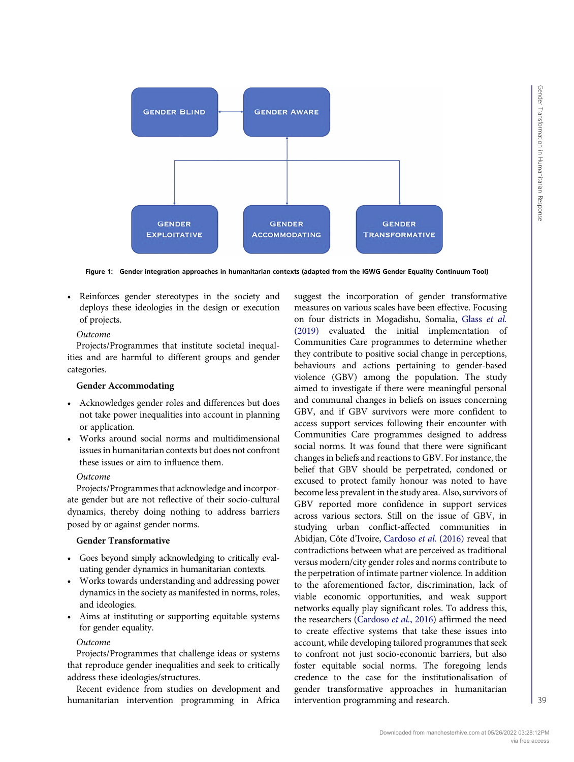<span id="page-3-0"></span>

Figure 1: Gender integration approaches in humanitarian contexts (adapted from the IGWG Gender Equality Continuum Tool)

• Reinforces gender stereotypes in the society and deploys these ideologies in the design or execution of projects.

#### Outcome

Projects/Programmes that institute societal inequalities and are harmful to different groups and gender categories.

#### Gender Accommodating

- Acknowledges gender roles and differences but does not take power inequalities into account in planning or application.
- Works around social norms and multidimensional issues in humanitarian contexts but does not confront these issues or aim to influence them.

#### Outcome

Projects/Programmes that acknowledge and incorporate gender but are not reflective of their socio-cultural dynamics, thereby doing nothing to address barriers posed by or against gender norms.

#### Gender Transformative

- Goes beyond simply acknowledging to critically evaluating gender dynamics in humanitarian contexts.
- Works towards understanding and addressing power dynamics in the society as manifested in norms, roles, and ideologies.
- Aims at instituting or supporting equitable systems for gender equality.

#### Outcome

Projects/Programmes that challenge ideas or systems that reproduce gender inequalities and seek to critically address these ideologies/structures.

Recent evidence from studies on development and humanitarian intervention programming in Africa suggest the incorporation of gender transformative measures on various scales have been effective. Focusing on four districts in Mogadishu, Somalia, Glass [et al.](#page-11-20) [\(2019\)](#page-11-20) evaluated the initial implementation of Communities Care programmes to determine whether they contribute to positive social change in perceptions, behaviours and actions pertaining to gender-based violence (GBV) among the population. The study aimed to investigate if there were meaningful personal and communal changes in beliefs on issues concerning GBV, and if GBV survivors were more confident to access support services following their encounter with Communities Care programmes designed to address social norms. It was found that there were significant changes in beliefs and reactions to GBV. For instance, the belief that GBV should be perpetrated, condoned or excused to protect family honour was noted to have become less prevalent in the study area. Also, survivors of GBV reported more confidence in support services across various sectors. Still on the issue of GBV, in studying urban conflict-affected communities in Abidjan, Côte d'Ivoire, [Cardoso](#page-10-0) et al. (2016) reveal that contradictions between what are perceived as traditional versus modern/city gender roles and norms contribute to the perpetration of intimate partner violence. In addition to the aforementioned factor, discrimination, lack of viable economic opportunities, and weak support networks equally play significant roles. To address this, the researchers ([Cardoso](#page-10-0) et al., 2016) affirmed the need to create effective systems that take these issues into account, while developing tailored programmes that seek to confront not just socio-economic barriers, but also foster equitable social norms. The foregoing lends credence to the case for the institutionalisation of gender transformative approaches in humanitarian intervention programming and research.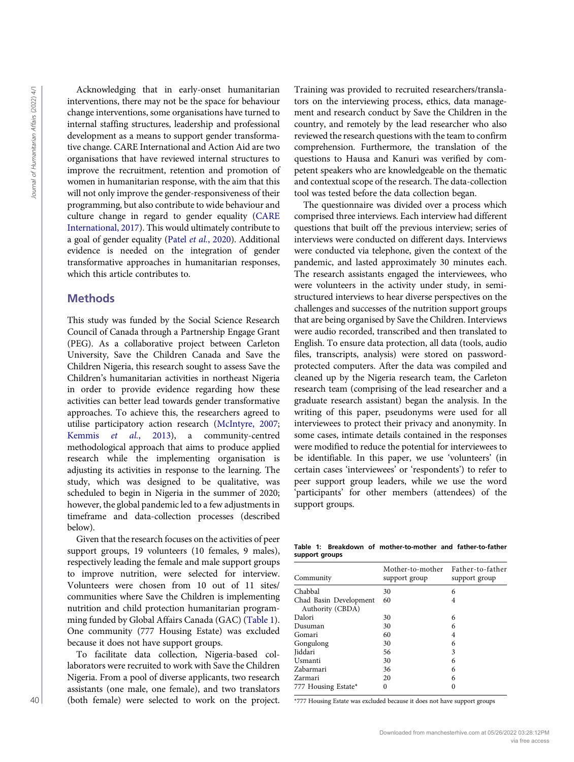Acknowledging that in early-onset humanitarian interventions, there may not be the space for behaviour change interventions, some organisations have turned to internal staffing structures, leadership and professional development as a means to support gender transformative change. CARE International and Action Aid are two organisations that have reviewed internal structures to improve the recruitment, retention and promotion of women in humanitarian response, with the aim that this will not only improve the gender-responsiveness of their programming, but also contribute to wide behaviour and culture change in regard to gender equality [\(CARE](#page-10-1) [International, 2017](#page-10-1)). This would ultimately contribute to a goal of gender equality (Patel et al.[, 2020\)](#page-11-21). Additional evidence is needed on the integration of gender transformative approaches in humanitarian responses, which this article contributes to.

### **Methods**

This study was funded by the Social Science Research Council of Canada through a Partnership Engage Grant (PEG). As a collaborative project between Carleton University, Save the Children Canada and Save the Children Nigeria, this research sought to assess Save the Children's humanitarian activities in northeast Nigeria in order to provide evidence regarding how these activities can better lead towards gender transformative approaches. To achieve this, the researchers agreed to utilise participatory action research [\(McIntyre, 2007](#page-11-22); Kemmis et al.[, 2013](#page-11-23)), a community-centred methodological approach that aims to produce applied research while the implementing organisation is adjusting its activities in response to the learning. The study, which was designed to be qualitative, was scheduled to begin in Nigeria in the summer of 2020; however, the global pandemic led to a few adjustments in timeframe and data-collection processes (described below).

Given that the research focuses on the activities of peer support groups, 19 volunteers (10 females, 9 males), respectively leading the female and male support groups to improve nutrition, were selected for interview. Volunteers were chosen from 10 out of 11 sites/ communities where Save the Children is implementing nutrition and child protection humanitarian programming funded by Global Affairs Canada (GAC) [\(Table 1\)](#page-4-0). One community (777 Housing Estate) was excluded because it does not have support groups.

To facilitate data collection, Nigeria-based collaborators were recruited to work with Save the Children Nigeria. From a pool of diverse applicants, two research assistants (one male, one female), and two translators (both female) were selected to work on the project. Training was provided to recruited researchers/translators on the interviewing process, ethics, data management and research conduct by Save the Children in the country, and remotely by the lead researcher who also reviewed the research questions with the team to confirm comprehension. Furthermore, the translation of the questions to Hausa and Kanuri was verified by competent speakers who are knowledgeable on the thematic and contextual scope of the research. The data-collection tool was tested before the data collection began.

The questionnaire was divided over a process which comprised three interviews. Each interview had different questions that built off the previous interview; series of interviews were conducted on different days. Interviews were conducted via telephone, given the context of the pandemic, and lasted approximately 30 minutes each. The research assistants engaged the interviewees, who were volunteers in the activity under study, in semistructured interviews to hear diverse perspectives on the challenges and successes of the nutrition support groups that are being organised by Save the Children. Interviews were audio recorded, transcribed and then translated to English. To ensure data protection, all data (tools, audio files, transcripts, analysis) were stored on passwordprotected computers. After the data was compiled and cleaned up by the Nigeria research team, the Carleton research team (comprising of the lead researcher and a graduate research assistant) began the analysis. In the writing of this paper, pseudonyms were used for all interviewees to protect their privacy and anonymity. In some cases, intimate details contained in the responses were modified to reduce the potential for interviewees to be identifiable. In this paper, we use 'volunteers' (in certain cases 'interviewees' or 'respondents') to refer to peer support group leaders, while we use the word 'participants' for other members (attendees) of the support groups.

<span id="page-4-0"></span>Table 1: Breakdown of mother-to-mother and father-to-father support groups

| Community                                  | Mother-to-mother<br>support group | Father-to-father<br>support group |
|--------------------------------------------|-----------------------------------|-----------------------------------|
| Chabbal                                    | 30                                | 6                                 |
| Chad Basin Development<br>Authority (CBDA) | 60                                | 4                                 |
| Dalori                                     | 30                                | 6                                 |
| Dusuman                                    | 30                                | 6                                 |
| Gomari                                     | 60                                | 4                                 |
| Gongulong                                  | 30                                | 6                                 |
| Jiddari                                    | 56                                | 3                                 |
| Usmanti                                    | 30                                | 6                                 |
| Zabarmari                                  | 36                                | 6                                 |
| Zarmari                                    | 20                                | 6                                 |
| 777 Housing Estate*                        | 0                                 |                                   |

\*777 Housing Estate was excluded because it does not have support groups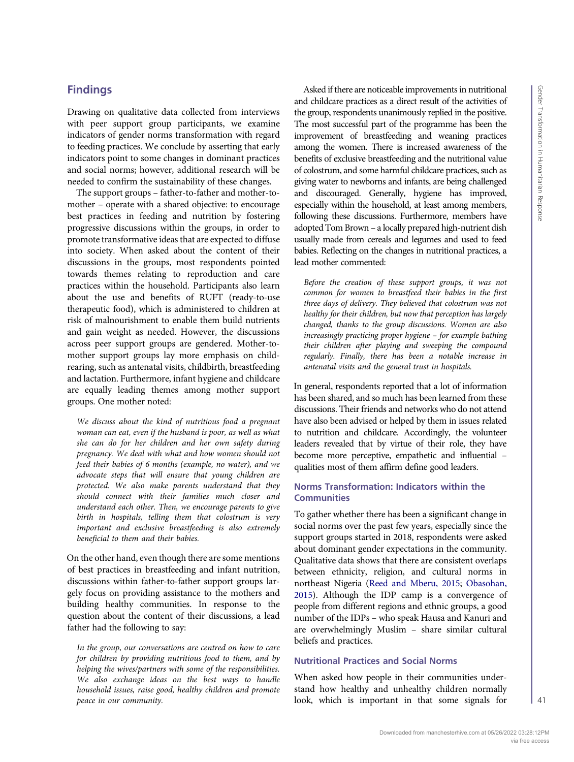# Findings

Drawing on qualitative data collected from interviews with peer support group participants, we examine indicators of gender norms transformation with regard to feeding practices. We conclude by asserting that early indicators point to some changes in dominant practices and social norms; however, additional research will be needed to confirm the sustainability of these changes.

The support groups – father-to-father and mother-tomother – operate with a shared objective: to encourage best practices in feeding and nutrition by fostering progressive discussions within the groups, in order to promote transformative ideas that are expected to diffuse into society. When asked about the content of their discussions in the groups, most respondents pointed towards themes relating to reproduction and care practices within the household. Participants also learn about the use and benefits of RUFT (ready-to-use therapeutic food), which is administered to children at risk of malnourishment to enable them build nutrients and gain weight as needed. However, the discussions across peer support groups are gendered. Mother-tomother support groups lay more emphasis on childrearing, such as antenatal visits, childbirth, breastfeeding and lactation. Furthermore, infant hygiene and childcare are equally leading themes among mother support groups. One mother noted:

We discuss about the kind of nutritious food a pregnant woman can eat, even if the husband is poor, as well as what she can do for her children and her own safety during pregnancy. We deal with what and how women should not feed their babies of 6 months (example, no water), and we advocate steps that will ensure that young children are protected. We also make parents understand that they should connect with their families much closer and understand each other. Then, we encourage parents to give birth in hospitals, telling them that colostrum is very important and exclusive breastfeeding is also extremely beneficial to them and their babies.

On the other hand, even though there are some mentions of best practices in breastfeeding and infant nutrition, discussions within father-to-father support groups largely focus on providing assistance to the mothers and building healthy communities. In response to the question about the content of their discussions, a lead father had the following to say:

In the group, our conversations are centred on how to care for children by providing nutritious food to them, and by helping the wives/partners with some of the responsibilities. We also exchange ideas on the best ways to handle household issues, raise good, healthy children and promote peace in our community.

Asked if there are noticeable improvements in nutritional and childcare practices as a direct result of the activities of the group, respondents unanimously replied in the positive. The most successful part of the programme has been the improvement of breastfeeding and weaning practices among the women. There is increased awareness of the benefits of exclusive breastfeeding and the nutritional value of colostrum, and some harmful childcare practices, such as giving water to newborns and infants, are being challenged and discouraged. Generally, hygiene has improved, especially within the household, at least among members, following these discussions. Furthermore, members have adopted Tom Brown – a locally prepared high-nutrient dish usually made from cereals and legumes and used to feed babies. Reflecting on the changes in nutritional practices, a lead mother commented:

Before the creation of these support groups, it was not common for women to breastfeed their babies in the first three days of delivery. They believed that colostrum was not healthy for their children, but now that perception has largely changed, thanks to the group discussions. Women are also increasingly practicing proper hygiene – for example bathing their children after playing and sweeping the compound regularly. Finally, there has been a notable increase in antenatal visits and the general trust in hospitals.

In general, respondents reported that a lot of information has been shared, and so much has been learned from these discussions. Their friends and networks who do not attend have also been advised or helped by them in issues related to nutrition and childcare. Accordingly, the volunteer leaders revealed that by virtue of their role, they have become more perceptive, empathetic and influential – qualities most of them affirm define good leaders.

# Norms Transformation: Indicators within the **Communities**

To gather whether there has been a significant change in social norms over the past few years, especially since the support groups started in 2018, respondents were asked about dominant gender expectations in the community. Qualitative data shows that there are consistent overlaps between ethnicity, religion, and cultural norms in northeast Nigeria [\(Reed and Mberu, 2015;](#page-11-24) [Obasohan,](#page-11-25) [2015](#page-11-25)). Although the IDP camp is a convergence of people from different regions and ethnic groups, a good number of the IDPs – who speak Hausa and Kanuri and are overwhelmingly Muslim – share similar cultural beliefs and practices.

# Nutritional Practices and Social Norms

When asked how people in their communities understand how healthy and unhealthy children normally look, which is important in that some signals for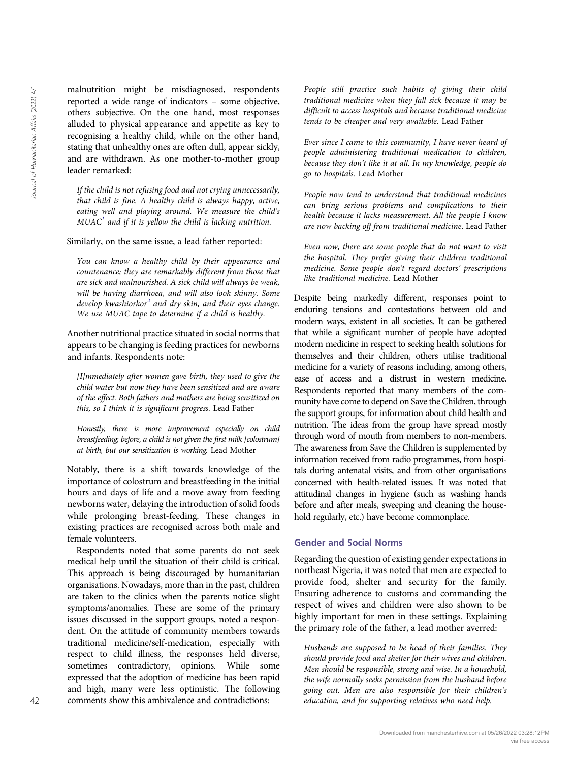malnutrition might be misdiagnosed, respondents reported a wide range of indicators – some objective, others subjective. On the one hand, most responses alluded to physical appearance and appetite as key to recognising a healthy child, while on the other hand, stating that unhealthy ones are often dull, appear sickly, and are withdrawn. As one mother-to-mother group leader remarked:

If the child is not refusing food and not crying unnecessarily, that child is fine. A healthy child is always happy, active, eating well and playing around. We measure the child's  $MUAC<sup>1</sup>$  and if it is yellow the child is lacking nutrition.

Similarly, on the same issue, a lead father reported:

You can know a healthy child by their appearance and countenance; they are remarkably different from those that are sick and malnourished. A sick child will always be weak, will be having diarrhoea, and will also look skinny. Some develop kwashiorkor<sup>[2](#page-10-3)</sup> and dry skin, and their eyes change. We use MUAC tape to determine if a child is healthy.

Another nutritional practice situated in social norms that appears to be changing is feeding practices for newborns and infants. Respondents note:

[I]mmediately after women gave birth, they used to give the child water but now they have been sensitized and are aware of the effect. Both fathers and mothers are being sensitized on this, so I think it is significant progress. Lead Father

Honestly, there is more improvement especially on child breastfeeding; before, a child is not given the first milk [colostrum] at birth, but our sensitization is working. Lead Mother

Notably, there is a shift towards knowledge of the importance of colostrum and breastfeeding in the initial hours and days of life and a move away from feeding newborns water, delaying the introduction of solid foods while prolonging breast-feeding. These changes in existing practices are recognised across both male and female volunteers.

Respondents noted that some parents do not seek medical help until the situation of their child is critical. This approach is being discouraged by humanitarian organisations. Nowadays, more than in the past, children are taken to the clinics when the parents notice slight symptoms/anomalies. These are some of the primary issues discussed in the support groups, noted a respondent. On the attitude of community members towards traditional medicine/self-medication, especially with respect to child illness, the responses held diverse, sometimes contradictory, opinions. While some expressed that the adoption of medicine has been rapid and high, many were less optimistic. The following comments show this ambivalence and contradictions:

People still practice such habits of giving their child traditional medicine when they fall sick because it may be difficult to access hospitals and because traditional medicine tends to be cheaper and very available. Lead Father

Ever since I came to this community, I have never heard of people administering traditional medication to children, because they don't like it at all. In my knowledge, people do go to hospitals. Lead Mother

People now tend to understand that traditional medicines can bring serious problems and complications to their health because it lacks measurement. All the people I know are now backing off from traditional medicine. Lead Father

Even now, there are some people that do not want to visit the hospital. They prefer giving their children traditional medicine. Some people don't regard doctors' prescriptions like traditional medicine. Lead Mother

Despite being markedly different, responses point to enduring tensions and contestations between old and modern ways, existent in all societies. It can be gathered that while a significant number of people have adopted modern medicine in respect to seeking health solutions for themselves and their children, others utilise traditional medicine for a variety of reasons including, among others, ease of access and a distrust in western medicine. Respondents reported that many members of the community have come to depend on Save the Children, through the support groups, for information about child health and nutrition. The ideas from the group have spread mostly through word of mouth from members to non-members. The awareness from Save the Children is supplemented by information received from radio programmes, from hospitals during antenatal visits, and from other organisations concerned with health-related issues. It was noted that attitudinal changes in hygiene (such as washing hands before and after meals, sweeping and cleaning the household regularly, etc.) have become commonplace. 42 education in the mathematic state of the substitution in the substitution of the substitution in the substitution of the substitution in the substitution of the substitution in the substitution of the substitution of

#### Gender and Social Norms

Regarding the question of existing gender expectations in northeast Nigeria, it was noted that men are expected to provide food, shelter and security for the family. Ensuring adherence to customs and commanding the respect of wives and children were also shown to be highly important for men in these settings. Explaining the primary role of the father, a lead mother averred:

Husbands are supposed to be head of their families. They should provide food and shelter for their wives and children. Men should be responsible, strong and wise. In a household, the wife normally seeks permission from the husband before going out. Men are also responsible for their children's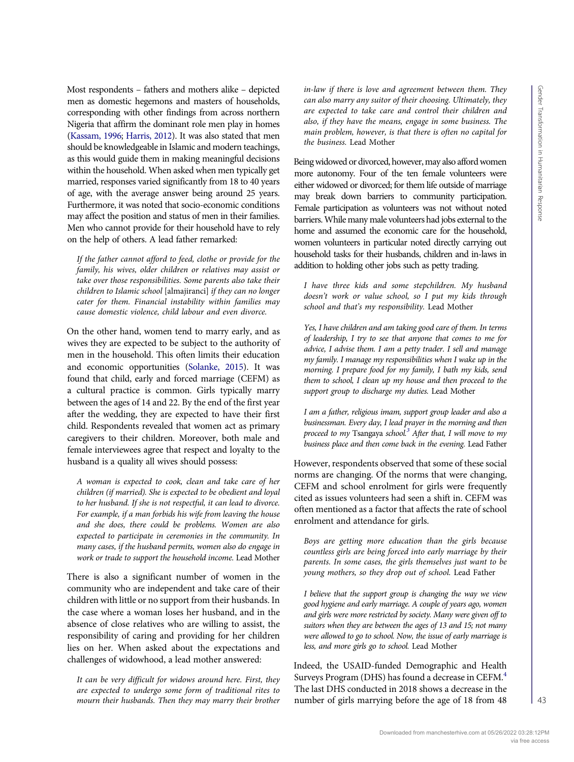Most respondents – fathers and mothers alike – depicted men as domestic hegemons and masters of households, corresponding with other findings from across northern Nigeria that affirm the dominant role men play in homes [\(Kassam, 1996;](#page-11-26) [Harris, 2012](#page-11-27)). It was also stated that men should be knowledgeable in Islamic and modern teachings, as this would guide them in making meaningful decisions within the household. When asked when men typically get married, responses varied significantly from 18 to 40 years of age, with the average answer being around 25 years. Furthermore, it was noted that socio-economic conditions may affect the position and status of men in their families. Men who cannot provide for their household have to rely on the help of others. A lead father remarked:

If the father cannot afford to feed, clothe or provide for the family, his wives, older children or relatives may assist or take over those responsibilities. Some parents also take their children to Islamic school [almajiranci] if they can no longer cater for them. Financial instability within families may cause domestic violence, child labour and even divorce.

On the other hand, women tend to marry early, and as wives they are expected to be subject to the authority of men in the household. This often limits their education and economic opportunities ([Solanke, 2015\)](#page-11-28). It was found that child, early and forced marriage (CEFM) as a cultural practice is common. Girls typically marry between the ages of 14 and 22. By the end of the first year after the wedding, they are expected to have their first child. Respondents revealed that women act as primary caregivers to their children. Moreover, both male and female interviewees agree that respect and loyalty to the husband is a quality all wives should possess:

A woman is expected to cook, clean and take care of her children (if married). She is expected to be obedient and loyal to her husband. If she is not respectful, it can lead to divorce. For example, if a man forbids his wife from leaving the house and she does, there could be problems. Women are also expected to participate in ceremonies in the community. In many cases, if the husband permits, women also do engage in work or trade to support the household income. Lead Mother

There is also a significant number of women in the community who are independent and take care of their children with little or no support from their husbands. In the case where a woman loses her husband, and in the absence of close relatives who are willing to assist, the responsibility of caring and providing for her children lies on her. When asked about the expectations and challenges of widowhood, a lead mother answered:

It can be very difficult for widows around here. First, they are expected to undergo some form of traditional rites to mourn their husbands. Then they may marry their brother

in-law if there is love and agreement between them. They can also marry any suitor of their choosing. Ultimately, they are expected to take care and control their children and also, if they have the means, engage in some business. The main problem, however, is that there is often no capital for the business. Lead Mother

Being widowed or divorced, however, may also afford women more autonomy. Four of the ten female volunteers were either widowed or divorced; for them life outside of marriage may break down barriers to community participation. Female participation as volunteers was not without noted barriers.While many male volunteers had jobs external to the home and assumed the economic care for the household, women volunteers in particular noted directly carrying out household tasks for their husbands, children and in-laws in addition to holding other jobs such as petty trading.

I have three kids and some stepchildren. My husband doesn't work or value school, so I put my kids through school and that's my responsibility. Lead Mother

Yes, I have children and am taking good care of them. In terms of leadership, I try to see that anyone that comes to me for advice, I advise them. I am a petty trader. I sell and manage my family. I manage my responsibilities when I wake up in the morning. I prepare food for my family, I bath my kids, send them to school, I clean up my house and then proceed to the support group to discharge my duties. Lead Mother

I am a father, religious imam, support group leader and also a businessman. Every day, I lead prayer in the morning and then proceed to my Tsangaya school.<sup>3</sup> After that, I will move to my business place and then come back in the evening. Lead Father

However, respondents observed that some of these social norms are changing. Of the norms that were changing, CEFM and school enrolment for girls were frequently cited as issues volunteers had seen a shift in. CEFM was often mentioned as a factor that affects the rate of school enrolment and attendance for girls.

Boys are getting more education than the girls because countless girls are being forced into early marriage by their parents. In some cases, the girls themselves just want to be young mothers, so they drop out of school. Lead Father

I believe that the support group is changing the way we view good hygiene and early marriage. A couple of years ago, women and girls were more restricted by society. Many were given off to suitors when they are between the ages of 13 and 15; not many were allowed to go to school. Now, the issue of early marriage is less, and more girls go to school. Lead Mother

Indeed, the USAID-funded Demographic and Health Surveys Program (DHS) has found a decrease in CEFM.<sup>4</sup> The last DHS conducted in 2018 shows a decrease in the number of girls marrying before the age of 18 from 48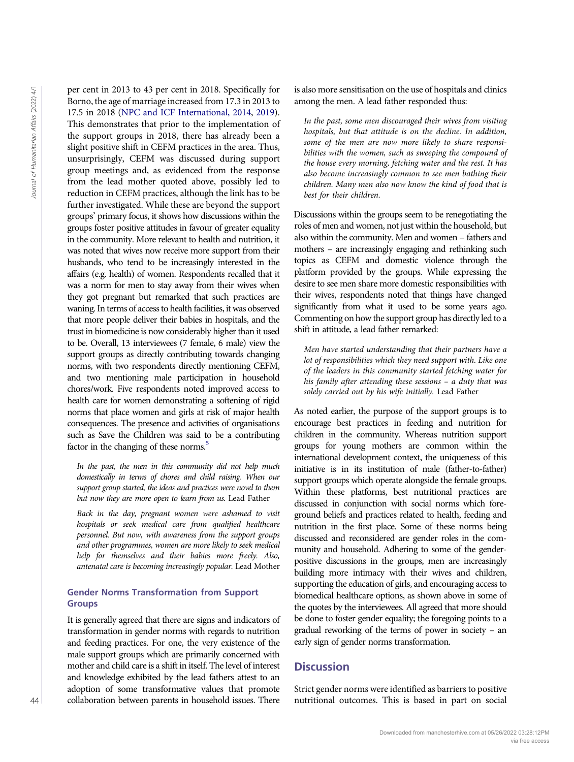per cent in 2013 to 43 per cent in 2018. Specifically for Borno, the age of marriage increased from 17.3 in 2013 to 17.5 in 2018 ([NPC and ICF International, 2014,](#page-11-29) [2019\)](#page-11-30). This demonstrates that prior to the implementation of the support groups in 2018, there has already been a slight positive shift in CEFM practices in the area. Thus, unsurprisingly, CEFM was discussed during support group meetings and, as evidenced from the response from the lead mother quoted above, possibly led to reduction in CEFM practices, although the link has to be further investigated. While these are beyond the support groups' primary focus, it shows how discussions within the groups foster positive attitudes in favour of greater equality in the community. More relevant to health and nutrition, it was noted that wives now receive more support from their husbands, who tend to be increasingly interested in the affairs (e.g. health) of women. Respondents recalled that it was a norm for men to stay away from their wives when they got pregnant but remarked that such practices are waning. In terms of access to health facilities, it was observed that more people deliver their babies in hospitals, and the trust in biomedicine is now considerably higher than it used to be. Overall, 13 interviewees (7 female, 6 male) view the support groups as directly contributing towards changing norms, with two respondents directly mentioning CEFM, and two mentioning male participation in household chores/work. Five respondents noted improved access to health care for women demonstrating a softening of rigid norms that place women and girls at risk of major health consequences. The presence and activities of organisations such as Save the Children was said to be a contributing factor in the changing of these norms.<sup>5</sup> Free the most that is based in the twist we can be a some of the twist we can be a solid part of the twist we can be a solid Journal of The Fair and the twist we have the part of the twist we have the social Journal of Th

In the past, the men in this community did not help much domestically in terms of chores and child raising. When our support group started, the ideas and practices were novel to them but now they are more open to learn from us. Lead Father

Back in the day, pregnant women were ashamed to visit hospitals or seek medical care from qualified healthcare personnel. But now, with awareness from the support groups and other programmes, women are more likely to seek medical help for themselves and their babies more freely. Also, antenatal care is becoming increasingly popular. Lead Mother

# Gender Norms Transformation from Support Groups

It is generally agreed that there are signs and indicators of transformation in gender norms with regards to nutrition and feeding practices. For one, the very existence of the male support groups which are primarily concerned with mother and child care is a shift in itself. The level of interest and knowledge exhibited by the lead fathers attest to an adoption of some transformative values that promote collaboration between parents in household issues. There is also more sensitisation on the use of hospitals and clinics among the men. A lead father responded thus:

In the past, some men discouraged their wives from visiting hospitals, but that attitude is on the decline. In addition, some of the men are now more likely to share responsibilities with the women, such as sweeping the compound of the house every morning, fetching water and the rest. It has also become increasingly common to see men bathing their children. Many men also now know the kind of food that is best for their children.

Discussions within the groups seem to be renegotiating the roles of men and women, not just within the household, but also within the community. Men and women – fathers and mothers – are increasingly engaging and rethinking such topics as CEFM and domestic violence through the platform provided by the groups. While expressing the desire to see men share more domestic responsibilities with their wives, respondents noted that things have changed significantly from what it used to be some years ago. Commenting on how the support group has directly led to a shift in attitude, a lead father remarked:

Men have started understanding that their partners have a lot of responsibilities which they need support with. Like one of the leaders in this community started fetching water for his family after attending these sessions – a duty that was solely carried out by his wife initially. Lead Father

As noted earlier, the purpose of the support groups is to encourage best practices in feeding and nutrition for children in the community. Whereas nutrition support groups for young mothers are common within the international development context, the uniqueness of this initiative is in its institution of male (father-to-father) support groups which operate alongside the female groups. Within these platforms, best nutritional practices are discussed in conjunction with social norms which foreground beliefs and practices related to health, feeding and nutrition in the first place. Some of these norms being discussed and reconsidered are gender roles in the community and household. Adhering to some of the genderpositive discussions in the groups, men are increasingly building more intimacy with their wives and children, supporting the education of girls, and encouraging access to biomedical healthcare options, as shown above in some of the quotes by the interviewees. All agreed that more should be done to foster gender equality; the foregoing points to a gradual reworking of the terms of power in society – an early sign of gender norms transformation.

# **Discussion**

Strict gender norms were identified as barriers to positive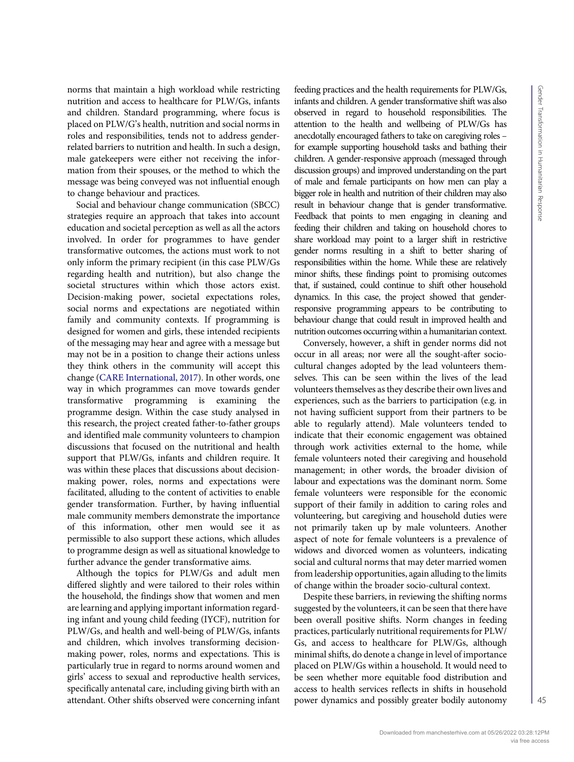norms that maintain a high workload while restricting nutrition and access to healthcare for PLW/Gs, infants and children. Standard programming, where focus is placed on PLW/G's health, nutrition and social norms in roles and responsibilities, tends not to address genderrelated barriers to nutrition and health. In such a design, male gatekeepers were either not receiving the information from their spouses, or the method to which the message was being conveyed was not influential enough to change behaviour and practices.

Social and behaviour change communication (SBCC) strategies require an approach that takes into account education and societal perception as well as all the actors involved. In order for programmes to have gender transformative outcomes, the actions must work to not only inform the primary recipient (in this case PLW/Gs regarding health and nutrition), but also change the societal structures within which those actors exist. Decision-making power, societal expectations roles, social norms and expectations are negotiated within family and community contexts. If programming is designed for women and girls, these intended recipients of the messaging may hear and agree with a message but may not be in a position to change their actions unless they think others in the community will accept this change [\(CARE International, 2017](#page-10-1)). In other words, one way in which programmes can move towards gender transformative programming is examining the programme design. Within the case study analysed in this research, the project created father-to-father groups and identified male community volunteers to champion discussions that focused on the nutritional and health support that PLW/Gs, infants and children require. It was within these places that discussions about decisionmaking power, roles, norms and expectations were facilitated, alluding to the content of activities to enable gender transformation. Further, by having influential male community members demonstrate the importance of this information, other men would see it as permissible to also support these actions, which alludes to programme design as well as situational knowledge to further advance the gender transformative aims.

Although the topics for PLW/Gs and adult men differed slightly and were tailored to their roles within the household, the findings show that women and men are learning and applying important information regarding infant and young child feeding (IYCF), nutrition for PLW/Gs, and health and well-being of PLW/Gs, infants and children, which involves transforming decisionmaking power, roles, norms and expectations. This is particularly true in regard to norms around women and girls' access to sexual and reproductive health services, specifically antenatal care, including giving birth with an attendant. Other shifts observed were concerning infant feeding practices and the health requirements for PLW/Gs, infants and children. A gender transformative shift was also observed in regard to household responsibilities. The attention to the health and wellbeing of PLW/Gs has anecdotally encouraged fathers to take on caregiving roles – for example supporting household tasks and bathing their children. A gender-responsive approach (messaged through discussion groups) and improved understanding on the part of male and female participants on how men can play a bigger role in health and nutrition of their children may also result in behaviour change that is gender transformative. Feedback that points to men engaging in cleaning and feeding their children and taking on household chores to share workload may point to a larger shift in restrictive gender norms resulting in a shift to better sharing of responsibilities within the home. While these are relatively minor shifts, these findings point to promising outcomes that, if sustained, could continue to shift other household dynamics. In this case, the project showed that genderresponsive programming appears to be contributing to behaviour change that could result in improved health and nutrition outcomes occurring within a humanitarian context.

Conversely, however, a shift in gender norms did not occur in all areas; nor were all the sought-after sociocultural changes adopted by the lead volunteers themselves. This can be seen within the lives of the lead volunteers themselves as they describe their own lives and experiences, such as the barriers to participation (e.g. in not having sufficient support from their partners to be able to regularly attend). Male volunteers tended to indicate that their economic engagement was obtained through work activities external to the home, while female volunteers noted their caregiving and household management; in other words, the broader division of labour and expectations was the dominant norm. Some female volunteers were responsible for the economic support of their family in addition to caring roles and volunteering, but caregiving and household duties were not primarily taken up by male volunteers. Another aspect of note for female volunteers is a prevalence of widows and divorced women as volunteers, indicating social and cultural norms that may deter married women from leadership opportunities, again alluding to the limits of change within the broader socio-cultural context.

Despite these barriers, in reviewing the shifting norms suggested by the volunteers, it can be seen that there have been overall positive shifts. Norm changes in feeding practices, particularly nutritional requirements for PLW/ Gs, and access to healthcare for PLW/Gs, although minimal shifts, do denote a change in level of importance placed on PLW/Gs within a household. It would need to be seen whether more equitable food distribution and access to health services reflects in shifts in household power dynamics and possibly greater bodily autonomy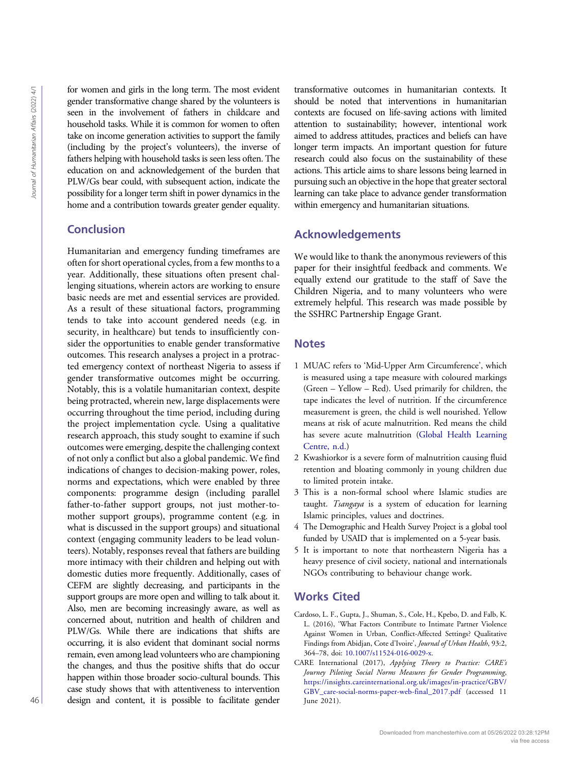for women and girls in the long term. The most evident gender transformative change shared by the volunteers is seen in the involvement of fathers in childcare and household tasks. While it is common for women to often take on income generation activities to support the family (including by the project's volunteers), the inverse of fathers helping with household tasks is seen less often. The education on and acknowledgement of the burden that PLW/Gs bear could, with subsequent action, indicate the possibility for a longer term shift in power dynamics in the home and a contribution towards greater gender equality.

# Conclusion

Humanitarian and emergency funding timeframes are often for short operational cycles, from a few months to a year. Additionally, these situations often present challenging situations, wherein actors are working to ensure basic needs are met and essential services are provided. As a result of these situational factors, programming tends to take into account gendered needs (e.g. in security, in healthcare) but tends to insufficiently consider the opportunities to enable gender transformative outcomes. This research analyses a project in a protracted emergency context of northeast Nigeria to assess if gender transformative outcomes might be occurring. Notably, this is a volatile humanitarian context, despite being protracted, wherein new, large displacements were occurring throughout the time period, including during the project implementation cycle. Using a qualitative research approach, this study sought to examine if such outcomes were emerging, despite the challenging context of not only a conflict but also a global pandemic. We find indications of changes to decision-making power, roles, norms and expectations, which were enabled by three components: programme design (including parallel father-to-father support groups, not just mother-tomother support groups), programme content (e.g. in what is discussed in the support groups) and situational context (engaging community leaders to be lead volunteers). Notably, responses reveal that fathers are building more intimacy with their children and helping out with domestic duties more frequently. Additionally, cases of CEFM are slightly decreasing, and participants in the support groups are more open and willing to talk about it. Also, men are becoming increasingly aware, as well as concerned about, nutrition and health of children and PLW/Gs. While there are indications that shifts are occurring, it is also evident that dominant social norms remain, even among lead volunteers who are championing the changes, and thus the positive shifts that do occur happen within those broader socio-cultural bounds. This case study shows that with attentiveness to intervention design and content, it is possible to facilitate gender For women and gives min the most extent in the solution of the bindstromation and gives the most extent in the<br>diagonal of the most extend in the most extend in the content of the<br>solution and content in the most extend i

transformative outcomes in humanitarian contexts. It should be noted that interventions in humanitarian contexts are focused on life-saving actions with limited attention to sustainability; however, intentional work aimed to address attitudes, practices and beliefs can have longer term impacts. An important question for future research could also focus on the sustainability of these actions. This article aims to share lessons being learned in pursuing such an objective in the hope that greater sectoral learning can take place to advance gender transformation within emergency and humanitarian situations.

# Acknowledgements

We would like to thank the anonymous reviewers of this paper for their insightful feedback and comments. We equally extend our gratitude to the staff of Save the Children Nigeria, and to many volunteers who were extremely helpful. This research was made possible by the SSHRC Partnership Engage Grant.

# <span id="page-10-2"></span>**Notes**

- 1 MUAC refers to 'Mid-Upper Arm Circumference', which is measured using a tape measure with coloured markings (Green – Yellow – Red). Used primarily for children, the tape indicates the level of nutrition. If the circumference measurement is green, the child is well nourished. Yellow means at risk of acute malnutrition. Red means the child has severe acute malnutrition ([Global Health Learning](#page-11-31) [Centre, n.d.\)](#page-11-31)
- <span id="page-10-3"></span>2 Kwashiorkor is a severe form of malnutrition causing fluid retention and bloating commonly in young children due to limited protein intake.
- <span id="page-10-4"></span>3 This is a non-formal school where Islamic studies are taught. Tsangaya is a system of education for learning Islamic principles, values and doctrines.
- <span id="page-10-6"></span><span id="page-10-5"></span>4 The Demographic and Health Survey Project is a global tool funded by USAID that is implemented on a 5-year basis.
- 5 It is important to note that northeastern Nigeria has a heavy presence of civil society, national and internationals NGOs contributing to behaviour change work.

# <span id="page-10-0"></span>Works Cited

- Cardoso, L. F., Gupta, J., Shuman, S., Cole, H., Kpebo, D. and Falb, K. L. (2016), 'What Factors Contribute to Intimate Partner Violence Against Women in Urban, Conflict-Affected Settings? Qualitative Findings from Abidjan, Cote d'Ivoire', Journal of Urban Health, 93:2, 364–78, doi: [10.1007/s11524-016-0029-x.](http://dx.doi.org/10.1007/s11524-016-0029-x)
- <span id="page-10-1"></span>CARE International (2017), Applying Theory to Practice: CARE's Journey Piloting Social Norms Measures for Gender Programming, [https://insights.careinternational.org.uk/images/in-practice/GBV/](https://insights.careinternational.org.uk/images/in-practice/GBV/GBV_care-social-norms-paper-web-final_2017.pdf) [GBV\\_care-social-norms-paper-web-final\\_2017.pdf](https://insights.careinternational.org.uk/images/in-practice/GBV/GBV_care-social-norms-paper-web-final_2017.pdf) (accessed 11